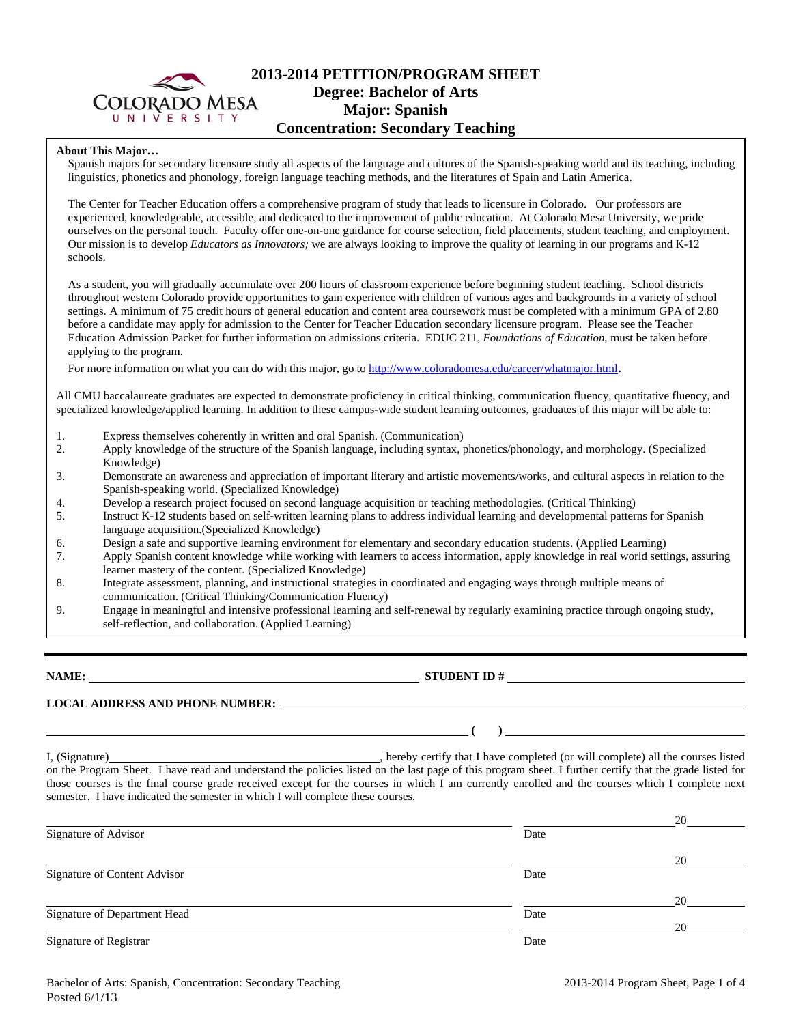

# **2013-2014 PETITION/PROGRAM SHEET Degree: Bachelor of Arts Major: Spanish Concentration: Secondary Teaching**

### **About This Major…**

Spanish majors for secondary licensure study all aspects of the language and cultures of the Spanish-speaking world and its teaching, including linguistics, phonetics and phonology, foreign language teaching methods, and the literatures of Spain and Latin America.

The Center for Teacher Education offers a comprehensive program of study that leads to licensure in Colorado. Our professors are experienced, knowledgeable, accessible, and dedicated to the improvement of public education. At Colorado Mesa University, we pride ourselves on the personal touch. Faculty offer one-on-one guidance for course selection, field placements, student teaching, and employment. Our mission is to develop *Educators as Innovators;* we are always looking to improve the quality of learning in our programs and K-12 schools.

As a student, you will gradually accumulate over 200 hours of classroom experience before beginning student teaching. School districts throughout western Colorado provide opportunities to gain experience with children of various ages and backgrounds in a variety of school settings. A minimum of 75 credit hours of general education and content area coursework must be completed with a minimum GPA of 2.80 before a candidate may apply for admission to the Center for Teacher Education secondary licensure program. Please see the Teacher Education Admission Packet for further information on admissions criteria. EDUC 211, *Foundations of Education*, must be taken before applying to the program.

For more information on what you can do with this major, go to http://www.coloradomesa.edu/career/whatmajor.html.

All CMU baccalaureate graduates are expected to demonstrate proficiency in critical thinking, communication fluency, quantitative fluency, and specialized knowledge/applied learning. In addition to these campus-wide student learning outcomes, graduates of this major will be able to:

- 1. Express themselves coherently in written and oral Spanish. (Communication)
- 2. Apply knowledge of the structure of the Spanish language, including syntax, phonetics/phonology, and morphology. (Specialized Knowledge)
- 3. Demonstrate an awareness and appreciation of important literary and artistic movements/works, and cultural aspects in relation to the Spanish-speaking world. (Specialized Knowledge)
- 4. Develop a research project focused on second language acquisition or teaching methodologies. (Critical Thinking)
- 5. Instruct K-12 students based on self-written learning plans to address individual learning and developmental patterns for Spanish language acquisition.(Specialized Knowledge)
- 6. Design a safe and supportive learning environment for elementary and secondary education students. (Applied Learning)
- 7. Apply Spanish content knowledge while working with learners to access information, apply knowledge in real world settings, assuring learner mastery of the content. (Specialized Knowledge)
- 8. Integrate assessment, planning, and instructional strategies in coordinated and engaging ways through multiple means of communication. (Critical Thinking/Communication Fluency)
- 9. Engage in meaningful and intensive professional learning and self-renewal by regularly examining practice through ongoing study, self-reflection, and collaboration. (Applied Learning)

**NAME: STUDENT ID #** 

 **( )** 

**LOCAL ADDRESS AND PHONE NUMBER:**

I, (Signature) , hereby certify that I have completed (or will complete) all the courses listed on the Program Sheet. I have read and understand the policies listed on the last page of this program sheet. I further certify that the grade listed for those courses is the final course grade received except for the courses in which I am currently enrolled and the courses which I complete next semester. I have indicated the semester in which I will complete these courses.

|                              |      | 20 |
|------------------------------|------|----|
| Signature of Advisor         | Date |    |
|                              |      | 20 |
| Signature of Content Advisor | Date |    |
|                              |      | 20 |
| Signature of Department Head | Date |    |
|                              |      | 20 |
| Signature of Registrar       | Date |    |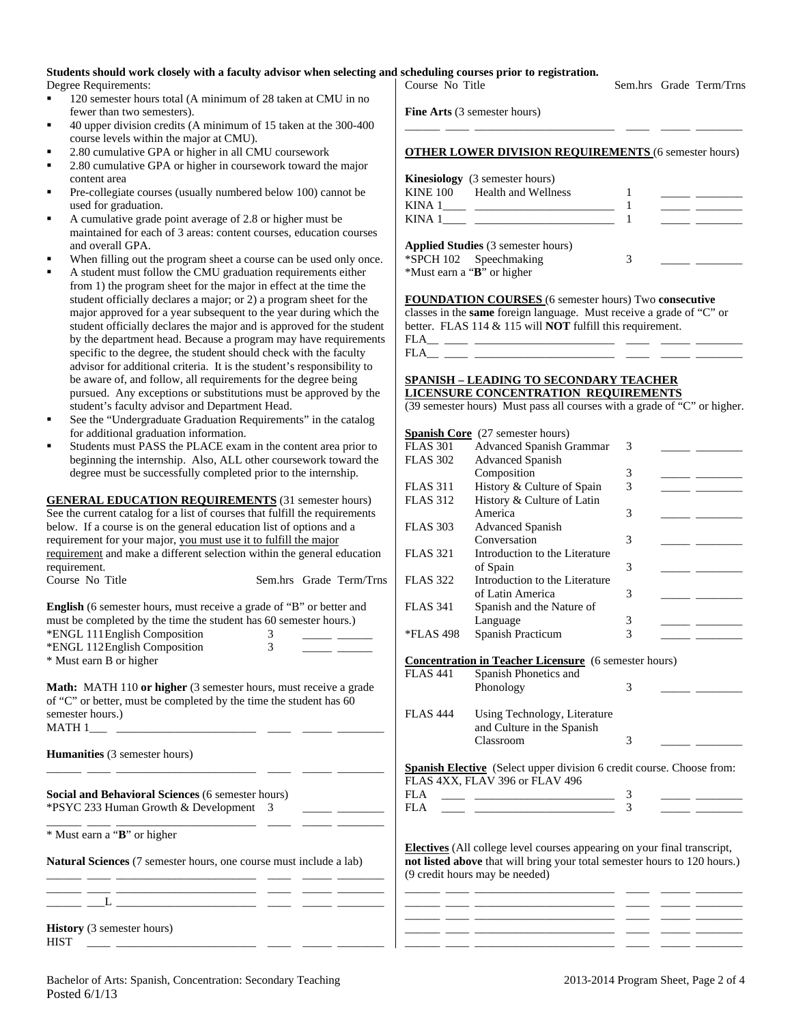#### **Students should work closely with a faculty advisor when selecting and scheduling courses prior to registration.**  Degree Requirements: 120 semester hours total (A minimum of 28 taken at CMU in no fewer than two semesters). 40 upper division credits (A minimum of 15 taken at the 300-400 course levels within the major at CMU). 2.80 cumulative GPA or higher in all CMU coursework 2.80 cumulative GPA or higher in coursework toward the major content area Course No Title Sem.hrs Grade Term/Trns **Fine Arts** (3 semester hours) \_\_\_\_\_\_ \_\_\_\_ \_\_\_\_\_\_\_\_\_\_\_\_\_\_\_\_\_\_\_\_\_\_\_\_ \_\_\_\_ \_\_\_\_\_ \_\_\_\_\_\_\_\_ **OTHER LOWER DIVISION REQUIREMENTS** (6 semester hours) **Kinesiology** (3 semester hours)

- Pre-collegiate courses (usually numbered below 100) cannot be used for graduation.
- A cumulative grade point average of 2.8 or higher must be maintained for each of 3 areas: content courses, education courses and overall GPA.
- When filling out the program sheet a course can be used only once.
- A student must follow the CMU graduation requirements either from 1) the program sheet for the major in effect at the time the student officially declares a major; or 2) a program sheet for the major approved for a year subsequent to the year during which the student officially declares the major and is approved for the student by the department head. Because a program may have requirements specific to the degree, the student should check with the faculty advisor for additional criteria. It is the student's responsibility to be aware of, and follow, all requirements for the degree being pursued. Any exceptions or substitutions must be approved by the student's faculty advisor and Department Head.
- See the "Undergraduate Graduation Requirements" in the catalog for additional graduation information.
- Students must PASS the PLACE exam in the content area prior to beginning the internship. Also, ALL other coursework toward the degree must be successfully completed prior to the internship.

**GENERAL EDUCATION REQUIREMENTS** (31 semester hours) See the current catalog for a list of courses that fulfill the requirements below. If a course is on the general education list of options and a requirement for your major, you must use it to fulfill the major requirement and make a different selection within the general education requirement. Course No Title Sem.hrs Grade Term/Trns **English** (6 semester hours, must receive a grade of "B" or better and

| <b>Eligiisii</b> (6 seinester nours, must receive a grade of <b>B</b> or better and |   |  |
|-------------------------------------------------------------------------------------|---|--|
| must be completed by the time the student has 60 semester hours.)                   |   |  |
| *ENGL 111 English Composition                                                       |   |  |
| *ENGL 112 English Composition                                                       | 3 |  |
| * Must earn B or higher                                                             |   |  |

**Math:** MATH 110 **or higher** (3 semester hours, must receive a grade of "C" or better, must be completed by the time the student has 60 semester hours.) MATH  $1$ 

\_\_\_\_\_\_ \_\_\_\_ \_\_\_\_\_\_\_\_\_\_\_\_\_\_\_\_\_\_\_\_\_\_\_\_ \_\_\_\_ \_\_\_\_\_ \_\_\_\_\_\_\_\_

\_\_\_\_\_\_ \_\_\_\_ \_\_\_\_\_\_\_\_\_\_\_\_\_\_\_\_\_\_\_\_\_\_\_\_ \_\_\_\_ \_\_\_\_\_ \_\_\_\_\_\_\_\_

\_\_\_\_\_\_ \_\_\_\_ \_\_\_\_\_\_\_\_\_\_\_\_\_\_\_\_\_\_\_\_\_\_\_\_ \_\_\_\_ \_\_\_\_\_ \_\_\_\_\_\_\_\_

**Humanities** (3 semester hours)

**Social and Behavioral Sciences** (6 semester hours) \*PSYC 233 Human Growth & Development 3 \_\_\_\_\_ \_\_\_\_\_\_\_\_

\* Must earn a "**B**" or higher

**Natural Sciences** (7 semester hours, one course must include a lab)

**History** (3 semester hours) HIST \_\_\_\_ \_\_\_\_\_\_\_\_\_\_\_\_\_\_\_\_\_\_\_\_\_\_\_\_ \_\_\_\_ \_\_\_\_\_ \_\_\_\_\_\_\_\_

| Course No Title                                                                                            |   | Sem.hrs Grade Term/Trns                                                                                                                                                                                                                                                                                                                                                                                                                                                                                                                                                                 |
|------------------------------------------------------------------------------------------------------------|---|-----------------------------------------------------------------------------------------------------------------------------------------------------------------------------------------------------------------------------------------------------------------------------------------------------------------------------------------------------------------------------------------------------------------------------------------------------------------------------------------------------------------------------------------------------------------------------------------|
| <b>Fine Arts</b> (3 semester hours)                                                                        |   |                                                                                                                                                                                                                                                                                                                                                                                                                                                                                                                                                                                         |
| <b>OTHER LOWER DIVISION REQUIREMENTS (6 semester hours)</b>                                                |   |                                                                                                                                                                                                                                                                                                                                                                                                                                                                                                                                                                                         |
| <b>Kinesiology</b> (3 semester hours)<br>KINE 100 Health and Wellness<br>KINA 1                            |   | <u> De Barbara (Barbara Barbara)</u><br>$\frac{1}{1-\frac{1}{1-\frac{1}{1-\frac{1}{1-\frac{1}{1-\frac{1}{1-\frac{1}{1-\frac{1}{1-\frac{1}{1-\frac{1}{1-\frac{1}{1-\frac{1}{1-\frac{1}{1-\frac{1}{1-\frac{1}{1-\frac{1}{1-\frac{1}{1-\frac{1}{1-\frac{1}{1-\frac{1}{1-\frac{1}{1-\frac{1}{1-\frac{1}{1-\frac{1}{1-\frac{1}{1-\frac{1}{1-\frac{1}{1-\frac{1}{1-\frac{1}{1-\frac{1}{1-\frac{1}{1-\frac{1}{1-\frac{1}{1-\frac{1}{1-\frac{1}{1-\frac{1}{1-\frac{1$<br><u> 1999 - Jan Barnett, politik eta politik eta politik eta politik eta politik eta politik eta politik eta politi</u> |
| <b>Applied Studies</b> (3 semester hours)<br>*SPCH 102 Speechmaking<br>*Must earn a " <b>B</b> " or higher | 3 |                                                                                                                                                                                                                                                                                                                                                                                                                                                                                                                                                                                         |

**FOUNDATION COURSES** (6 semester hours) Two **consecutive** classes in the **same** foreign language. Must receive a grade of "C" or better. FLAS 114 & 115 will **NOT** fulfill this requirement.  $FLA$ <sub>\_\_\_</sub> \_\_\_ \_\_

FLA\_\_ \_\_\_\_ \_\_\_\_\_\_\_\_\_\_\_\_\_\_\_\_\_\_\_\_\_\_\_\_ \_\_\_\_ \_\_\_\_\_ \_\_\_\_\_\_\_\_

## **SPANISH – LEADING TO SECONDARY TEACHER LICENSURE CONCENTRATION REQUIREMENTS**

(39 semester hours) Must pass all courses with a grade of "C" or higher.

|                 | <b>Spanish Core</b> (27 semester hours)                                               |                          |  |
|-----------------|---------------------------------------------------------------------------------------|--------------------------|--|
| <b>FLAS 301</b> | <b>Advanced Spanish Grammar</b>                                                       | 3                        |  |
| <b>FLAS 302</b> | <b>Advanced Spanish</b>                                                               |                          |  |
|                 | Composition                                                                           | 3                        |  |
| <b>FLAS 311</b> | History & Culture of Spain                                                            | 3                        |  |
| <b>FLAS 312</b> | History & Culture of Latin                                                            |                          |  |
|                 | America                                                                               | 3                        |  |
| <b>FLAS 303</b> | <b>Advanced Spanish</b>                                                               |                          |  |
|                 | Conversation                                                                          | 3                        |  |
| <b>FLAS 321</b> | Introduction to the Literature                                                        |                          |  |
|                 | of Spain                                                                              | 3                        |  |
| <b>FLAS 322</b> | Introduction to the Literature                                                        |                          |  |
|                 | of Latin America                                                                      | 3                        |  |
| <b>FLAS 341</b> | Spanish and the Nature of                                                             |                          |  |
|                 | Language                                                                              | 3                        |  |
| *FLAS 498       | Spanish Practicum                                                                     | $\overline{\mathcal{E}}$ |  |
|                 |                                                                                       |                          |  |
| <b>FLAS 441</b> | <b>Concentration in Teacher Licensure</b> (6 semester hours)<br>Spanish Phonetics and |                          |  |
|                 | Phonology                                                                             | 3                        |  |
| <b>FLAS 444</b> | Using Technology, Literature<br>and Culture in the Spanish<br>Classroom               | 3                        |  |
|                 |                                                                                       |                          |  |
|                 | Spanish Elective (Select upper division 6 credit course. Choose from:                 |                          |  |
| FLA             | FLAS 4XX, FLAV 396 or FLAV 496                                                        |                          |  |
| FLA             |                                                                                       | 3<br>3                   |  |
|                 |                                                                                       |                          |  |
|                 |                                                                                       |                          |  |
|                 | <b>Electives</b> (All college level courses appearing on your final transcript,       |                          |  |
|                 | not listed above that will bring your total semester hours to 120 hours.)             |                          |  |

|  |  | ________ |
|--|--|----------|
|  |  |          |
|  |  |          |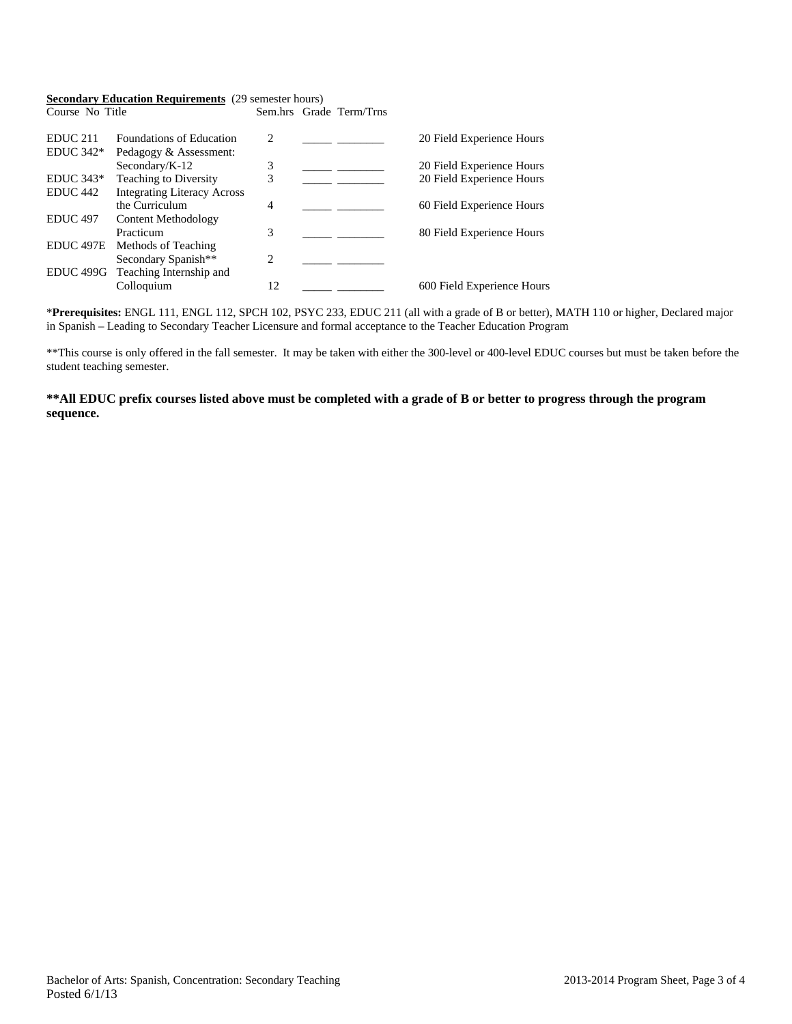#### **Secondary Education Requirements** (29 semester hours)

Course No Title Sem.hrs Grade Term/Trns

| EDUC <sub>211</sub>  | <b>Foundations of Education</b>    | $\mathcal{D}_{\mathcal{L}}$ | 20 Field Experience Hours  |
|----------------------|------------------------------------|-----------------------------|----------------------------|
| EDUC $342*$          | Pedagogy & Assessment:             |                             |                            |
|                      | Secondary/K-12                     | 3                           | 20 Field Experience Hours  |
| $EDUC 343*$          | Teaching to Diversity              | 3                           | 20 Field Experience Hours  |
| EDUC <sub>442</sub>  | <b>Integrating Literacy Across</b> |                             |                            |
|                      | the Curriculum                     | 4                           | 60 Field Experience Hours  |
| <b>EDUC</b> 497      | Content Methodology                |                             |                            |
|                      | Practicum                          | 3                           | 80 Field Experience Hours  |
| EDUC <sub>497E</sub> | Methods of Teaching                |                             |                            |
|                      | Secondary Spanish**                | 2                           |                            |
| EDUC <sub>499G</sub> | Teaching Internship and            |                             |                            |
|                      | Colloquium                         | 12                          | 600 Field Experience Hours |
|                      |                                    |                             |                            |

\***Prerequisites:** ENGL 111, ENGL 112, SPCH 102, PSYC 233, EDUC 211 (all with a grade of B or better), MATH 110 or higher, Declared major in Spanish – Leading to Secondary Teacher Licensure and formal acceptance to the Teacher Education Program

\*\*This course is only offered in the fall semester. It may be taken with either the 300-level or 400-level EDUC courses but must be taken before the student teaching semester.

## **\*\*All EDUC prefix courses listed above must be completed with a grade of B or better to progress through the program sequence.**